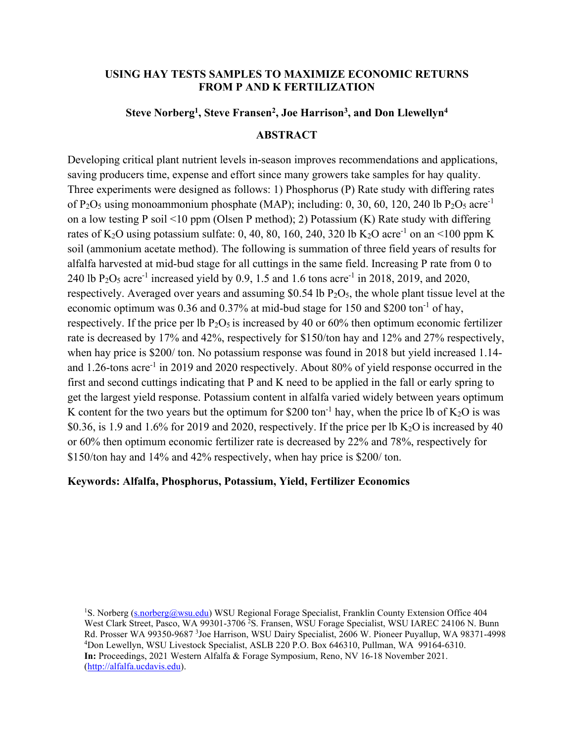## **USING HAY TESTS SAMPLES TO MAXIMIZE ECONOMIC RETURNS FROM P AND K FERTILIZATION**

## **Steve Norberg1, Steve Fransen2, Joe Harrison3, and Don Llewellyn4**

#### **ABSTRACT**

Developing critical plant nutrient levels in-season improves recommendations and applications, saving producers time, expense and effort since many growers take samples for hay quality. Three experiments were designed as follows: 1) Phosphorus (P) Rate study with differing rates of P<sub>2</sub>O<sub>5</sub> using monoammonium phosphate (MAP); including: 0, 30, 60, 120, 240 lb P<sub>2</sub>O<sub>5</sub> acre<sup>-1</sup> on a low testing P soil <10 ppm (Olsen P method); 2) Potassium (K) Rate study with differing rates of K<sub>2</sub>O using potassium sulfate: 0, 40, 80, 160, 240, 320 lb K<sub>2</sub>O acre<sup>-1</sup> on an <100 ppm K soil (ammonium acetate method). The following is summation of three field years of results for alfalfa harvested at mid-bud stage for all cuttings in the same field. Increasing P rate from 0 to 240 lb  $P_2O_5$  acre<sup>-1</sup> increased yield by 0.9, 1.5 and 1.6 tons acre<sup>-1</sup> in 2018, 2019, and 2020, respectively. Averaged over years and assuming  $$0.54$  lb  $P_2O_5$ , the whole plant tissue level at the economic optimum was 0.36 and 0.37% at mid-bud stage for 150 and \$200 ton<sup>-1</sup> of hay, respectively. If the price per lb  $P_2O_5$  is increased by 40 or 60% then optimum economic fertilizer rate is decreased by 17% and 42%, respectively for \$150/ton hay and 12% and 27% respectively, when hay price is \$200/ ton. No potassium response was found in 2018 but yield increased 1.14 and 1.26-tons acre<sup>-1</sup> in 2019 and 2020 respectively. About 80% of yield response occurred in the first and second cuttings indicating that P and K need to be applied in the fall or early spring to get the largest yield response. Potassium content in alfalfa varied widely between years optimum K content for the two years but the optimum for \$200 ton<sup>-1</sup> hay, when the price lb of  $K_2O$  is was \$0.36, is 1.9 and 1.6% for 2019 and 2020, respectively. If the price per lb  $K_2O$  is increased by 40 or 60% then optimum economic fertilizer rate is decreased by 22% and 78%, respectively for \$150/ton hay and 14% and 42% respectively, when hay price is \$200/ ton.

## **Keywords: Alfalfa, Phosphorus, Potassium, Yield, Fertilizer Economics**

<sup>&</sup>lt;sup>1</sup>S. Norberg [\(s.norberg@wsu.edu\)](mailto:s.norberg@wsu.edu) WSU Regional Forage Specialist, Franklin County Extension Office 404 West Clark Street, Pasco, WA 99301-3706<sup>2</sup>S. Fransen, WSU Forage Specialist, WSU IAREC 24106 N. Bunn Rd. Prosser WA 99350-9687<sup>3</sup>Joe Harrison, WSU Dairy Specialist, 2606 W. Pioneer Puyallup, WA 98371-4998 4 Don Lewellyn, WSU Livestock Specialist, ASLB 220 P.O. Box 646310, Pullman, WA 99164-6310. **In:** Proceedings, 2021 Western Alfalfa & Forage Symposium, Reno, NV 16-18 November 2021. [\(http://alfalfa.ucdavis.edu\)](http://alfalfa.ucdavis.edu/).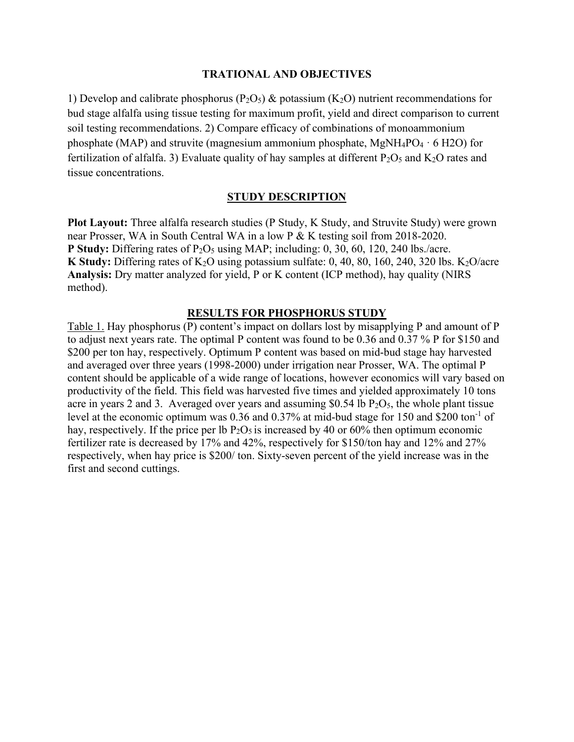#### **TRATIONAL AND OBJECTIVES**

1) Develop and calibrate phosphorus (P<sub>2</sub>O<sub>5</sub>) & potassium (K<sub>2</sub>O) nutrient recommendations for bud stage alfalfa using tissue testing for maximum profit, yield and direct comparison to current soil testing recommendations. 2) Compare efficacy of combinations of monoammonium phosphate (MAP) and struvite (magnesium ammonium phosphate, MgNH<sub>4</sub>PO<sub>4</sub>  $\cdot$  6 H<sub>2</sub>O) for fertilization of alfalfa. 3) Evaluate quality of hay samples at different  $P_2O_5$  and  $K_2O$  rates and tissue concentrations.

#### **STUDY DESCRIPTION**

**Plot Layout:** Three alfalfa research studies (P Study, K Study, and Struvite Study) were grown near Prosser, WA in South Central WA in a low P & K testing soil from 2018-2020. **P Study:** Differing rates of P<sub>2</sub>O<sub>5</sub> using MAP; including: 0, 30, 60, 120, 240 lbs./acre. **K Study:** Differing rates of  $K_2O$  using potassium sulfate: 0, 40, 80, 160, 240, 320 lbs.  $K_2O$ /acre **Analysis:** Dry matter analyzed for yield, P or K content (ICP method), hay quality (NIRS method).

## **RESULTS FOR PHOSPHORUS STUDY**

Table 1. Hay phosphorus (P) content's impact on dollars lost by misapplying P and amount of P to adjust next years rate. The optimal P content was found to be 0.36 and 0.37 % P for \$150 and \$200 per ton hay, respectively. Optimum P content was based on mid-bud stage hay harvested and averaged over three years (1998-2000) under irrigation near Prosser, WA. The optimal P content should be applicable of a wide range of locations, however economics will vary based on productivity of the field. This field was harvested five times and yielded approximately 10 tons acre in years 2 and 3. Averaged over years and assuming \$0.54 lb  $P_2O_5$ , the whole plant tissue level at the economic optimum was 0.36 and 0.37% at mid-bud stage for 150 and \$200 ton<sup>-1</sup> of hay, respectively. If the price per lb  $P_2O_5$  is increased by 40 or 60% then optimum economic fertilizer rate is decreased by 17% and 42%, respectively for \$150/ton hay and 12% and 27% respectively, when hay price is \$200/ ton. Sixty-seven percent of the yield increase was in the first and second cuttings.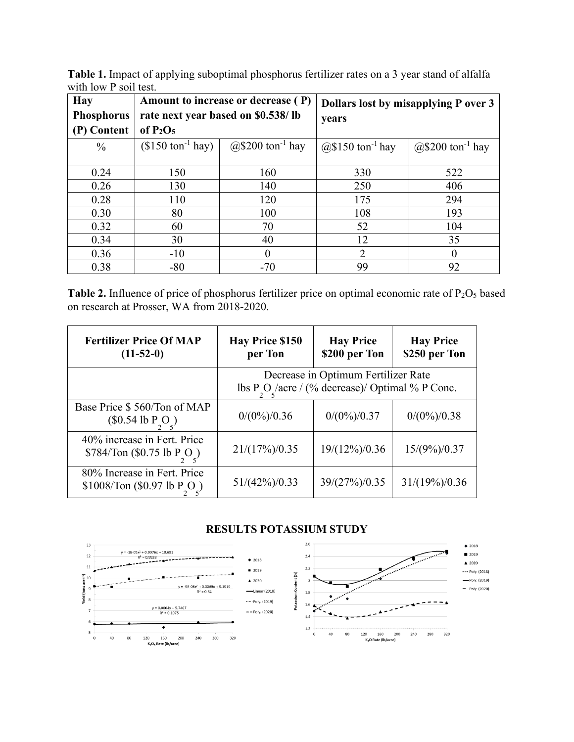**Table 1.** Impact of applying suboptimal phosphorus fertilizer rates on a 3 year stand of alfalfa with low P soil test.

| <b>Hay</b>        | Amount to increase or decrease (P)    |                                   | Dollars lost by misapplying P over 3 |                              |
|-------------------|---------------------------------------|-----------------------------------|--------------------------------------|------------------------------|
| <b>Phosphorus</b> | rate next year based on \$0.538/lb    |                                   | years                                |                              |
| (P) Content       | of $P_2O_5$                           |                                   |                                      |                              |
| $\frac{0}{0}$     | $($150 \text{ ton}^{-1} \text{ hay})$ | $(a)$ \$200 ton <sup>-1</sup> hay | $(a)$ \$150 ton <sup>-1</sup> hay    | @\$200 ton <sup>-1</sup> hay |
|                   |                                       |                                   |                                      |                              |
| 0.24              | 150                                   | 160                               | 330                                  | 522                          |
| 0.26              | 130                                   | 140                               | 250                                  | 406                          |
| 0.28              | 110                                   | 120                               | 175                                  | 294                          |
| 0.30              | 80                                    | 100                               | 108                                  | 193                          |
| 0.32              | 60                                    | 70                                | 52                                   | 104                          |
| 0.34              | 30                                    | 40                                | 12                                   | 35                           |
| 0.36              | $-10$                                 | $\theta$                          | 2                                    |                              |
| 0.38              | $-80$                                 | $-70$                             | 99                                   | 92                           |

Table 2. Influence of price of phosphorus fertilizer price on optimal economic rate of P<sub>2</sub>O<sub>5</sub> based on research at Prosser, WA from 2018-2020.

| <b>Fertilizer Price Of MAP</b><br>$(11-52-0)$                  | <b>Hay Price \$150</b><br>per Ton                                                      | <b>Hay Price</b><br>\$200 per Ton | <b>Hay Price</b><br>\$250 per Ton |
|----------------------------------------------------------------|----------------------------------------------------------------------------------------|-----------------------------------|-----------------------------------|
|                                                                | Decrease in Optimum Fertilizer Rate<br>lbs P O /acre / (% decrease)/ Optimal % P Conc. |                                   |                                   |
| Base Price \$560/Ton of MAP<br>$(\$0.54$ lb $P_2O_5$ )         | $0/(0\%)/0.36$                                                                         | $0/(0\%)/0.37$                    | $0/(0\%)/0.38$                    |
| 40% increase in Fert. Price<br>\$784/Ton (\$0.75 lb $P_2O_5$ ) | $21/(17\%)/0.35$                                                                       | $19/(12\%)/0.36$                  | $15/(9\%)/0.37$                   |
| 80% Increase in Fert. Price<br>\$1008/Ton (\$0.97 lb P O)      | $51/(42\%)/0.33$                                                                       | 39/(27%)/0.35                     | $31/(19\%)/0.36$                  |

## **RESULTS POTASSIUM STUDY**

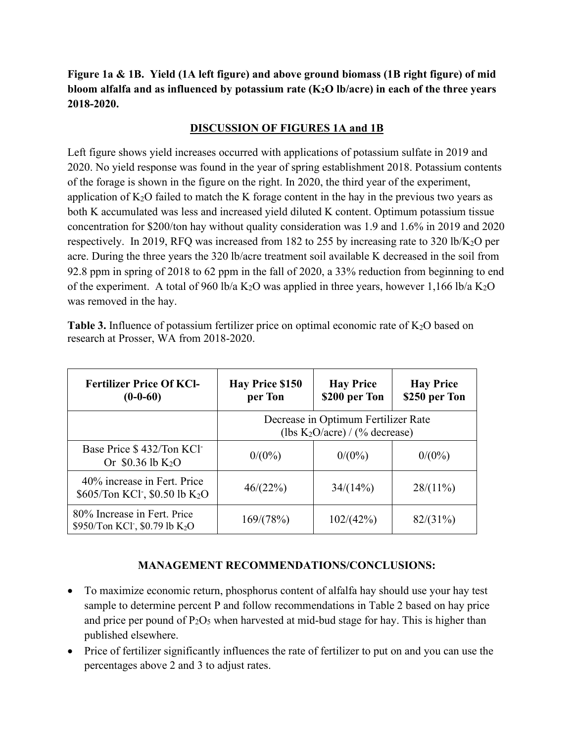**Figure 1a & 1B. Yield (1A left figure) and above ground biomass (1B right figure) of mid bloom alfalfa and as influenced by potassium rate (K2O lb/acre) in each of the three years 2018-2020.**

## **DISCUSSION OF FIGURES 1A and 1B**

Left figure shows yield increases occurred with applications of potassium sulfate in 2019 and 2020. No yield response was found in the year of spring establishment 2018. Potassium contents of the forage is shown in the figure on the right. In 2020, the third year of the experiment, application of  $K_2O$  failed to match the K forage content in the hay in the previous two years as both K accumulated was less and increased yield diluted K content. Optimum potassium tissue concentration for \$200/ton hay without quality consideration was 1.9 and 1.6% in 2019 and 2020 respectively. In 2019, RFQ was increased from 182 to 255 by increasing rate to 320 lb/K<sub>2</sub>O per acre. During the three years the 320 lb/acre treatment soil available K decreased in the soil from 92.8 ppm in spring of 2018 to 62 ppm in the fall of 2020, a 33% reduction from beginning to end of the experiment. A total of 960 lb/a K<sub>2</sub>O was applied in three years, however 1,166 lb/a K<sub>2</sub>O was removed in the hay.

| <b>Fertilizer Price Of KCI-</b><br>$(0-0-60)$                             | <b>Hay Price \$150</b><br>per Ton                                               | <b>Hay Price</b><br>\$200 per Ton | <b>Hay Price</b><br>\$250 per Ton |
|---------------------------------------------------------------------------|---------------------------------------------------------------------------------|-----------------------------------|-----------------------------------|
|                                                                           | Decrease in Optimum Fertilizer Rate<br>(lbs $K_2O/(\text{acre})$ / (% decrease) |                                   |                                   |
| Base Price \$432/Ton KCl<br>Or $$0.36$ lb K <sub>2</sub> O                | $0/(0\%)$                                                                       | $0/(0\%)$                         | $0/(0\%)$                         |
| 40% increase in Fert. Price<br>\$605/Ton KCl, $$0.50$ lb K <sub>2</sub> O | 46/(22%)                                                                        | 34/(14%)                          | $28/(11\%)$                       |
| 80% Increase in Fert. Price<br>\$950/Ton KCl, \$0.79 lb $K_2O$            | 169/(78%)                                                                       | 102/(42%)                         | $82/(31\%)$                       |

**Table 3.** Influence of potassium fertilizer price on optimal economic rate of  $K_2O$  based on research at Prosser, WA from 2018-2020.

# **MANAGEMENT RECOMMENDATIONS/CONCLUSIONS:**

- To maximize economic return, phosphorus content of alfalfa hay should use your hay test sample to determine percent P and follow recommendations in Table 2 based on hay price and price per pound of  $P_2O_5$  when harvested at mid-bud stage for hay. This is higher than published elsewhere.
- Price of fertilizer significantly influences the rate of fertilizer to put on and you can use the percentages above 2 and 3 to adjust rates.